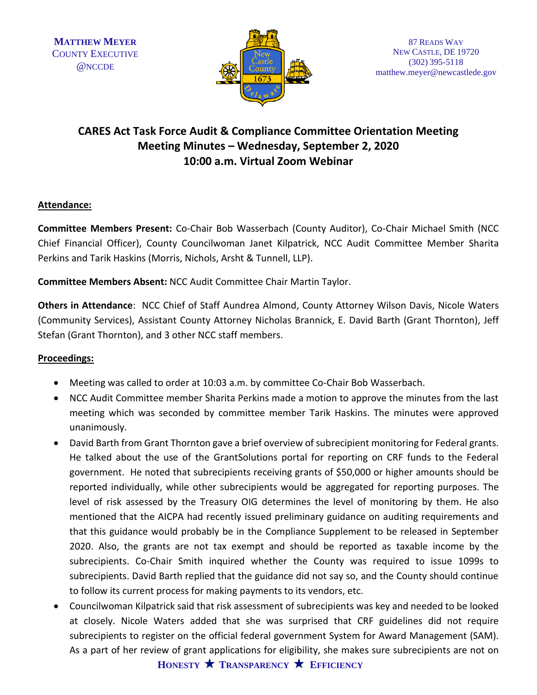

# **CARES Act Task Force Audit & Compliance Committee Orientation Meeting Meeting Minutes – Wednesday, September 2, 2020 10:00 a.m. Virtual Zoom Webinar**

## **Attendance:**

**Committee Members Present:** Co-Chair Bob Wasserbach (County Auditor), Co-Chair Michael Smith (NCC Chief Financial Officer), County Councilwoman Janet Kilpatrick, NCC Audit Committee Member Sharita Perkins and Tarik Haskins (Morris, Nichols, Arsht & Tunnell, LLP).

**Committee Members Absent:** NCC Audit Committee Chair Martin Taylor.

**Others in Attendance**: NCC Chief of Staff Aundrea Almond, County Attorney Wilson Davis, Nicole Waters (Community Services), Assistant County Attorney Nicholas Brannick, E. David Barth (Grant Thornton), Jeff Stefan (Grant Thornton), and 3 other NCC staff members.

## **Proceedings:**

- Meeting was called to order at 10:03 a.m. by committee Co-Chair Bob Wasserbach.
- NCC Audit Committee member Sharita Perkins made a motion to approve the minutes from the last meeting which was seconded by committee member Tarik Haskins. The minutes were approved unanimously.
- David Barth from Grant Thornton gave a brief overview of subrecipient monitoring for Federal grants. He talked about the use of the GrantSolutions portal for reporting on CRF funds to the Federal government. He noted that subrecipients receiving grants of \$50,000 or higher amounts should be reported individually, while other subrecipients would be aggregated for reporting purposes. The level of risk assessed by the Treasury OIG determines the level of monitoring by them. He also mentioned that the AICPA had recently issued preliminary guidance on auditing requirements and that this guidance would probably be in the Compliance Supplement to be released in September 2020. Also, the grants are not tax exempt and should be reported as taxable income by the subrecipients. Co-Chair Smith inquired whether the County was required to issue 1099s to subrecipients. David Barth replied that the guidance did not say so, and the County should continue to follow its current process for making payments to its vendors, etc.
- Councilwoman Kilpatrick said that risk assessment of subrecipients was key and needed to be looked at closely. Nicole Waters added that she was surprised that CRF guidelines did not require subrecipients to register on the official federal government System for Award Management (SAM). As a part of her review of grant applications for eligibility, she makes sure subrecipients are not on

**HONESTY TRANSPARENCY EFFICIENCY**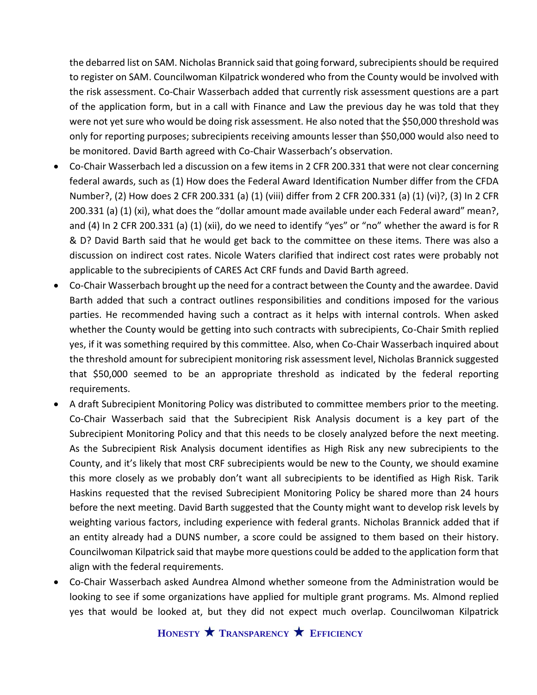the debarred list on SAM. Nicholas Brannick said that going forward, subrecipients should be required to register on SAM. Councilwoman Kilpatrick wondered who from the County would be involved with the risk assessment. Co-Chair Wasserbach added that currently risk assessment questions are a part of the application form, but in a call with Finance and Law the previous day he was told that they were not yet sure who would be doing risk assessment. He also noted that the \$50,000 threshold was only for reporting purposes; subrecipients receiving amounts lesser than \$50,000 would also need to be monitored. David Barth agreed with Co-Chair Wasserbach's observation.

- Co-Chair Wasserbach led a discussion on a few items in 2 CFR 200.331 that were not clear concerning federal awards, such as (1) How does the Federal Award Identification Number differ from the CFDA Number?, (2) How does 2 CFR 200.331 (a) (1) (viii) differ from 2 CFR 200.331 (a) (1) (vi)?, (3) In 2 CFR 200.331 (a) (1) (xi), what does the "dollar amount made available under each Federal award" mean?, and (4) In 2 CFR 200.331 (a) (1) (xii), do we need to identify "yes" or "no" whether the award is for R & D? David Barth said that he would get back to the committee on these items. There was also a discussion on indirect cost rates. Nicole Waters clarified that indirect cost rates were probably not applicable to the subrecipients of CARES Act CRF funds and David Barth agreed.
- Co-Chair Wasserbach brought up the need for a contract between the County and the awardee. David Barth added that such a contract outlines responsibilities and conditions imposed for the various parties. He recommended having such a contract as it helps with internal controls. When asked whether the County would be getting into such contracts with subrecipients, Co-Chair Smith replied yes, if it was something required by this committee. Also, when Co-Chair Wasserbach inquired about the threshold amount for subrecipient monitoring risk assessment level, Nicholas Brannick suggested that \$50,000 seemed to be an appropriate threshold as indicated by the federal reporting requirements.
- A draft Subrecipient Monitoring Policy was distributed to committee members prior to the meeting. Co-Chair Wasserbach said that the Subrecipient Risk Analysis document is a key part of the Subrecipient Monitoring Policy and that this needs to be closely analyzed before the next meeting. As the Subrecipient Risk Analysis document identifies as High Risk any new subrecipients to the County, and it's likely that most CRF subrecipients would be new to the County, we should examine this more closely as we probably don't want all subrecipients to be identified as High Risk. Tarik Haskins requested that the revised Subrecipient Monitoring Policy be shared more than 24 hours before the next meeting. David Barth suggested that the County might want to develop risk levels by weighting various factors, including experience with federal grants. Nicholas Brannick added that if an entity already had a DUNS number, a score could be assigned to them based on their history. Councilwoman Kilpatrick said that maybe more questions could be added to the application form that align with the federal requirements.
- Co-Chair Wasserbach asked Aundrea Almond whether someone from the Administration would be looking to see if some organizations have applied for multiple grant programs. Ms. Almond replied yes that would be looked at, but they did not expect much overlap. Councilwoman Kilpatrick

**HONESTY TRANSPARENCY EFFICIENCY**